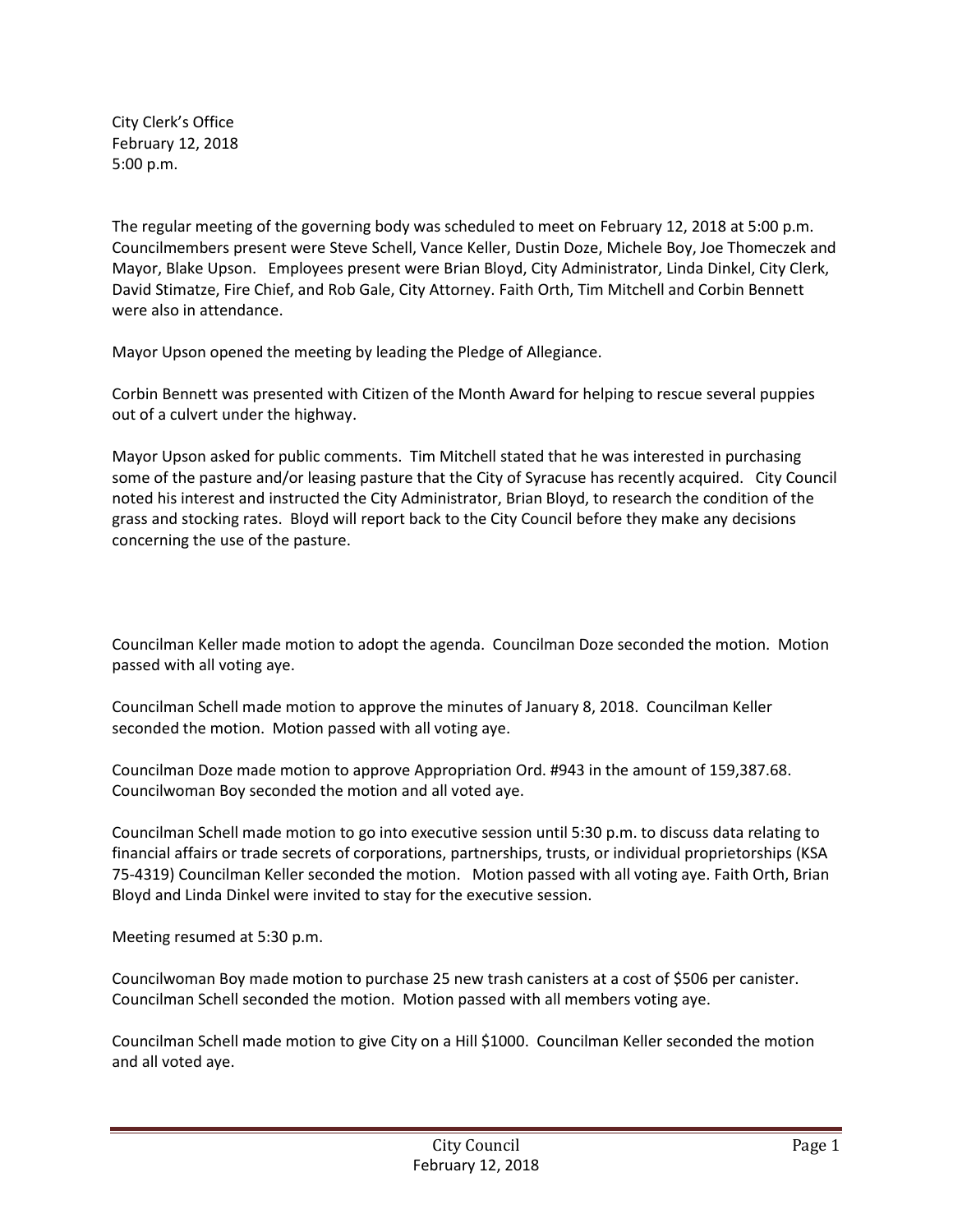City Clerk's Office February 12, 2018 5:00 p.m.

The regular meeting of the governing body was scheduled to meet on February 12, 2018 at 5:00 p.m. Councilmembers present were Steve Schell, Vance Keller, Dustin Doze, Michele Boy, Joe Thomeczek and Mayor, Blake Upson. Employees present were Brian Bloyd, City Administrator, Linda Dinkel, City Clerk, David Stimatze, Fire Chief, and Rob Gale, City Attorney. Faith Orth, Tim Mitchell and Corbin Bennett were also in attendance.

Mayor Upson opened the meeting by leading the Pledge of Allegiance.

Corbin Bennett was presented with Citizen of the Month Award for helping to rescue several puppies out of a culvert under the highway.

Mayor Upson asked for public comments. Tim Mitchell stated that he was interested in purchasing some of the pasture and/or leasing pasture that the City of Syracuse has recently acquired. City Council noted his interest and instructed the City Administrator, Brian Bloyd, to research the condition of the grass and stocking rates. Bloyd will report back to the City Council before they make any decisions concerning the use of the pasture.

Councilman Keller made motion to adopt the agenda. Councilman Doze seconded the motion. Motion passed with all voting aye.

Councilman Schell made motion to approve the minutes of January 8, 2018. Councilman Keller seconded the motion. Motion passed with all voting aye.

Councilman Doze made motion to approve Appropriation Ord. #943 in the amount of 159,387.68. Councilwoman Boy seconded the motion and all voted aye.

Councilman Schell made motion to go into executive session until 5:30 p.m. to discuss data relating to financial affairs or trade secrets of corporations, partnerships, trusts, or individual proprietorships (KSA 75-4319) Councilman Keller seconded the motion. Motion passed with all voting aye. Faith Orth, Brian Bloyd and Linda Dinkel were invited to stay for the executive session.

Meeting resumed at 5:30 p.m.

Councilwoman Boy made motion to purchase 25 new trash canisters at a cost of \$506 per canister. Councilman Schell seconded the motion. Motion passed with all members voting aye.

Councilman Schell made motion to give City on a Hill \$1000. Councilman Keller seconded the motion and all voted aye.